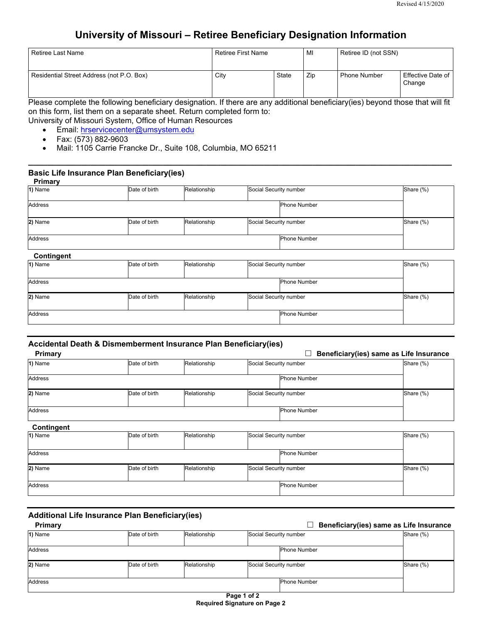# **University of Missouri – Retiree Beneficiary Designation Information**

| Retiree Last Name                         | l Retiree First Name |       | MI  | Retiree ID (not SSN) |                               |
|-------------------------------------------|----------------------|-------|-----|----------------------|-------------------------------|
| Residential Street Address (not P.O. Box) | City                 | State | Zip | <b>Phone Number</b>  | Effective Date of I<br>Change |

Please complete the following beneficiary designation. If there are any additional beneficiary(ies) beyond those that will fit on this form, list them on a separate sheet. Return completed form to:

**\_\_\_\_\_\_\_\_\_\_\_\_\_\_\_\_\_\_\_\_\_\_\_\_\_\_\_\_\_\_\_\_\_\_\_\_\_\_\_\_\_\_\_\_\_\_\_\_\_\_\_\_\_\_\_\_\_\_\_\_\_\_\_\_\_\_\_\_\_\_\_\_\_\_\_\_\_\_\_\_\_\_\_\_\_\_\_\_**

University of Missouri System, Office of Human Resources

- Email: hrservicecenter@umsystem.edu
- Fax: (573) 882-9603
- Mail: 1105 Carrie Francke Dr., Suite 108, Columbia, MO 65211

#### **Basic Life Insurance Plan Beneficiary(ies) Primary**

| <b>Fillid</b> Y |               |              |                        |                     |           |
|-----------------|---------------|--------------|------------------------|---------------------|-----------|
| 1) Name         | Date of birth | Relationship | Social Security number |                     | Share (%) |
|                 |               |              |                        |                     |           |
| Address         |               |              |                        | <b>Phone Number</b> |           |
|                 |               |              |                        |                     |           |
| 2) Name         | Date of birth | Relationship | Social Security number |                     | Share (%) |
|                 |               |              |                        |                     |           |
| Address         |               |              |                        | <b>Phone Number</b> |           |
|                 |               |              |                        |                     |           |
|                 |               |              |                        |                     |           |

| <b>Contingent</b> |               |              |                        |                     |           |
|-------------------|---------------|--------------|------------------------|---------------------|-----------|
| 1) Name           | Date of birth | Relationship | Social Security number |                     | Share (%) |
|                   |               |              |                        |                     |           |
| Address           |               |              |                        | <b>Phone Number</b> |           |
|                   |               |              |                        |                     |           |
| 2) Name           | Date of birth | Relationship | Social Security number |                     | Share (%) |
|                   |               |              |                        |                     |           |
| Address           |               |              |                        | <b>Phone Number</b> |           |
|                   |               |              |                        |                     |           |

### **Accidental Death & Dismemberment Insurance Plan Beneficiary(ies)**

| Primary        |               |              |                        | Beneficiary(ies) same as Life Insurance |           |
|----------------|---------------|--------------|------------------------|-----------------------------------------|-----------|
| 1) Name        | Date of birth | Relationship | Social Security number |                                         | Share (%) |
| <b>Address</b> |               |              |                        | <b>Phone Number</b>                     |           |
| 2) Name        | Date of birth | Relationship | Social Security number |                                         | Share (%) |
| <b>Address</b> |               |              |                        | <b>Phone Number</b>                     |           |

| Contingent     |               |              |                        |                     |           |
|----------------|---------------|--------------|------------------------|---------------------|-----------|
| 1) Name        | Date of birth | Relationship | Social Security number |                     | Share (%) |
|                |               |              |                        |                     |           |
| Address        |               |              |                        | <b>Phone Number</b> |           |
|                |               |              |                        |                     |           |
| 2) Name        | Date of birth | Relationship | Social Security number |                     | Share (%) |
|                |               |              |                        |                     |           |
| <b>Address</b> |               |              |                        | <b>Phone Number</b> |           |
|                |               |              |                        |                     |           |

# **Additional Life Insurance Plan Beneficiary(ies)**

| Primary        |               |              |                        | Beneficiary(ies) same as Life Insurance |           |
|----------------|---------------|--------------|------------------------|-----------------------------------------|-----------|
| 1) Name        | Date of birth | Relationship | Social Security number |                                         | Share (%) |
| Address        |               |              |                        | <b>Phone Number</b>                     |           |
| 2) Name        | Date of birth | Relationship | Social Security number |                                         | Share (%) |
| <b>Address</b> |               |              |                        | Phone Number                            |           |